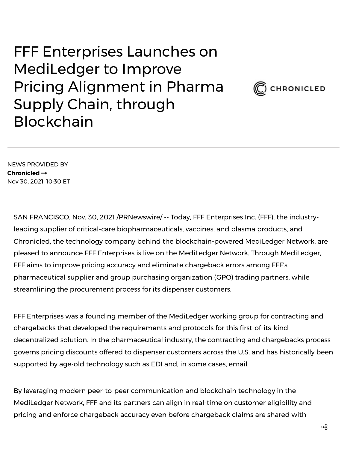FFF Enterprises Launches on MediLedger to Improve Pricing Alignment in Pharma Supply Chain, through Blockchain



NEWS PROVIDED BY **[Chronicled](https://www.prnewswire.com/news/chronicled/)** Nov 30, 2021, 10:30 ET

SAN FRANCISCO, Nov. 30, 2021 /PRNewswire/ -- Today, FFF Enterprises Inc. (FFF), the industryleading supplier of critical-care biopharmaceuticals, vaccines, and plasma products, and Chronicled, the technology company behind the blockchain-powered MediLedger Network, are pleased to announce FFF Enterprises is live on the MediLedger Network. Through MediLedger, FFF aims to improve pricing accuracy and eliminate chargeback errors among FFF's pharmaceutical supplier and group purchasing organization (GPO) trading partners, while streamlining the procurement process for its dispenser customers.

FFF Enterprises was a founding member of the MediLedger working group for contracting and chargebacks that developed the requirements and protocols for this first-of-its-kind decentralized solution. In the pharmaceutical industry, the contracting and chargebacks process governs pricing discounts offered to dispenser customers across the U.S. and has historically been supported by age-old technology such as EDI and, in some cases, email.

By leveraging modern peer-to-peer communication and blockchain technology in the MediLedger Network, FFF and its partners can align in real-time on customer eligibility and pricing and enforce chargeback accuracy even before chargeback claims are shared with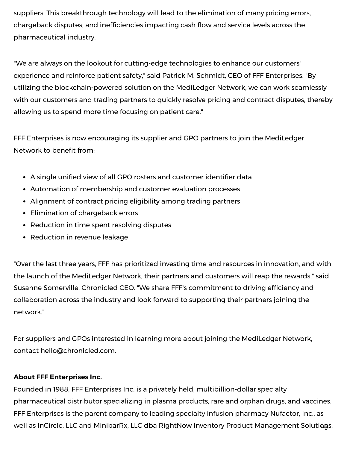suppliers. This breakthrough technology will lead to the elimination of many pricing errors, chargeback disputes, and inefficiencies impacting cash flow and service levels across the pharmaceutical industry.

"We are always on the lookout for cutting-edge technologies to enhance our customers' experience and reinforce patient safety," said Patrick M. Schmidt, CEO of FFF Enterprises. "By utilizing the blockchain-powered solution on the MediLedger Network, we can work seamlessly with our customers and trading partners to quickly resolve pricing and contract disputes, thereby allowing us to spend more time focusing on patient care."

FFF Enterprises is now encouraging its supplier and GPO partners to join the MediLedger Network to benefit from:

- A single unified view of all GPO rosters and customer identifier data
- Automation of membership and customer evaluation processes
- Alignment of contract pricing eligibility among trading partners
- Elimination of chargeback errors
- Reduction in time spent resolving disputes
- Reduction in revenue leakage

"Over the last three years, FFF has prioritized investing time and resources in innovation, and with the launch of the MediLedger Network, their partners and customers will reap the rewards," said Susanne Somerville, Chronicled CEO. "We share FFF's commitment to driving efficiency and collaboration across the industry and look forward to supporting their partners joining the network."

For suppliers and GPOs interested in learning more about joining the MediLedger Network, contact [hello@chronicled.com](mailto:hello@chronicled.com).

## **About FFF Enterprises Inc.**

Founded in 1988, FFF Enterprises Inc. is a privately held, multibillion-dollar specialty pharmaceutical distributor specializing in plasma products, rare and orphan drugs, and vaccines. FFF Enterprises is the parent company to leading specialty infusion pharmacy [Nufactor, Inc.,](https://c212.net/c/link/?t=0&l=en&o=3371949-1&h=3590876040&u=https%3A%2F%2Fwww.nufactor.com%2F&a=Nufactor%2C+Inc.%2C) as well as [InCircle, LLC](https://c212.net/c/link/?t=0&l=en&o=3371949-1&h=1668929706&u=https%3A%2F%2Fincirclereview.com%2F&a=InCircle%2C+LLC) and [MinibarRx, LLC dba RightNow Inventory Product Management Solutions](https://c212.net/c/link/?t=0&l=en&o=3371949-1&h=3369849669&u=https%3A%2F%2Fminibarrx.com%2Frightnow-inventory-portal.php&a=MinibarRx%2C+LLC+dba+RightNow+Inventory+Product+Management+Solutions).